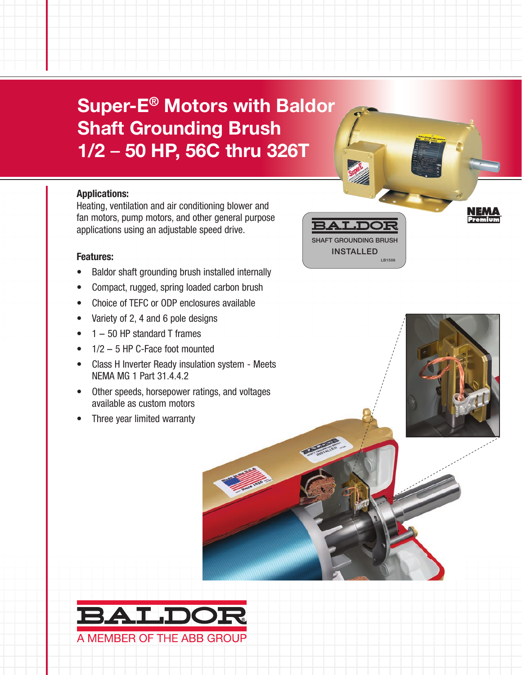Super-E® Motors with Baldor Shaft Grounding Brush 1/2 – 50 HP, 56C thru 326T

#### Applications:

Heating, ventilation and air conditioning blower and fan motors, pump motors, and other general purpose applications using an adjustable speed drive.

#### Features:

- Baldor shaft grounding brush installed internally
- Compact, rugged, spring loaded carbon brush
- Choice of TEFC or ODP enclosures available
- Variety of 2, 4 and 6 pole designs
- 1 50 HP standard T frames
- $1/2 5$  HP C-Face foot mounted
- Class H Inverter Ready insulation system Meets NEMA MG 1 Part 31.4.4.2
- Other speeds, horsepower ratings, and voltages available as custom motors
- Three year limited warranty



®

SHAFT GROUNDING BRUSH INSTALLED

LB150

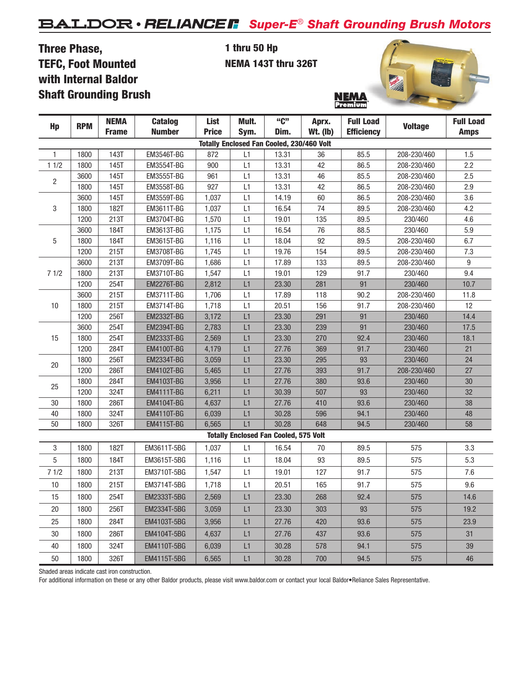# *Super-E*® *Shaft Grounding Brush Motors*

### Three Phase, TEFC, Foot Mounted with Internal Baldor Shaft Grounding Brush

#### 1 thru 50 Hp NEMA 143T thru 326T



| Hp             | <b>RPM</b> | <b>NEMA</b><br><b>Frame</b> | <b>Catalog</b><br><b>Number</b> | List         | Mult. | "C"                                              | Aprx.           | <b>Full Load</b>  | <b>Voltage</b>                                                                                                                                                                                                                                                                                                         | <b>Full Load</b> |
|----------------|------------|-----------------------------|---------------------------------|--------------|-------|--------------------------------------------------|-----------------|-------------------|------------------------------------------------------------------------------------------------------------------------------------------------------------------------------------------------------------------------------------------------------------------------------------------------------------------------|------------------|
|                |            |                             |                                 | <b>Price</b> | Sym.  | Dim.                                             | <b>Wt.</b> (lb) | <b>Efficiency</b> |                                                                                                                                                                                                                                                                                                                        | <b>Amps</b>      |
|                |            |                             |                                 |              |       | <b>Totally Enclosed Fan Cooled, 230/460 Volt</b> |                 |                   |                                                                                                                                                                                                                                                                                                                        |                  |
| $\mathbf{1}$   | 1800       | 143T                        | EM3546T-BG                      | 872          | L1    | 13.31                                            | 36              | 85.5              | 208-230/460                                                                                                                                                                                                                                                                                                            | 1.5              |
| 11/2           | 1800       | 145T                        | EM3554T-BG                      | 900          | L1    | 13.31                                            | 42              | 86.5              | 208-230/460                                                                                                                                                                                                                                                                                                            | 2.2              |
| $\overline{c}$ | 3600       | 145T                        | EM3555T-BG                      | 961          | L1    | 13.31                                            | 46              | 85.5              | 208-230/460                                                                                                                                                                                                                                                                                                            | 2.5              |
|                | 1800       | 145T                        | EM3558T-BG                      | 927          | L1    | 13.31                                            | 42              | 86.5              | 208-230/460                                                                                                                                                                                                                                                                                                            | 2.9              |
| 3              | 3600       | <b>145T</b>                 | EM3559T-BG                      | 1,037        | L1    | 14.19                                            | 60              | 86.5              | 208-230/460                                                                                                                                                                                                                                                                                                            | 3.6              |
|                | 1800       | 182T                        | EM3611T-BG                      | 1,037        | L1    | 16.54                                            | 74              | 89.5              | 208-230/460                                                                                                                                                                                                                                                                                                            | 4.2              |
|                | 1200       | 213T                        | EM3704T-BG                      | 1,570        | L1    | 19.01                                            | 135             | 89.5              | 230/460<br>230/460<br>208-230/460<br>208-230/460<br>208-230/460<br>230/460<br>230/460<br>208-230/460<br>208-230/460<br>230/460<br>230/460<br>230/460<br>230/460<br>230/460<br>208-230/460<br>230/460<br>230/460<br>230/460<br>230/460<br>230/460<br>575<br>575<br>575<br>575<br>575<br>575<br>575<br>575<br>575<br>575 | 4.6              |
|                | 3600       | 184T                        | EM3613T-BG                      | 1,175        | L1    | 16.54                                            | 76              | 88.5              |                                                                                                                                                                                                                                                                                                                        | 5.9              |
| $\mathbf 5$    | 1800       | 184T                        | EM3615T-BG                      | 1,116        | L1    | 18.04                                            | 92              | 89.5              |                                                                                                                                                                                                                                                                                                                        | 6.7              |
|                | 1200       | 215T                        | EM3708T-BG                      | 1,745        | L1    | 19.76                                            | 154             | 89.5              |                                                                                                                                                                                                                                                                                                                        | 7.3              |
|                | 3600       | 213T                        | EM3709T-BG                      | 1,686        | L1    | 17.89                                            | 133             | 89.5              |                                                                                                                                                                                                                                                                                                                        | 9                |
| 71/2           | 1800       | 213T                        | EM3710T-BG                      | 1,547        | L1    | 19.01                                            | 129             | 91.7              |                                                                                                                                                                                                                                                                                                                        | 9.4              |
|                | 1200       | 254T                        | <b>EM2276T-BG</b>               | 2,812        | L1    | 23.30                                            | 281             | 91                |                                                                                                                                                                                                                                                                                                                        | 10.7             |
|                | 3600       | 215T                        | EM3711T-BG                      | 1,706        | L1    | 17.89                                            | 118             | 90.2              |                                                                                                                                                                                                                                                                                                                        | 11.8             |
| 10             | 1800       | 215T                        | EM3714T-BG                      | 1,718        | L1    | 20.51                                            | 156             | 91.7              |                                                                                                                                                                                                                                                                                                                        | 12               |
|                | 1200       | 256T                        | <b>EM2332T-BG</b>               | 3,172        | L1    | 23.30                                            | 291             | 91                |                                                                                                                                                                                                                                                                                                                        | 14.4             |
|                | 3600       | 254T                        | <b>EM2394T-BG</b>               | 2,783        | L1    | 23.30                                            | 239             | 91                |                                                                                                                                                                                                                                                                                                                        | 17.5             |
| 15             | 1800       | 254T                        | <b>EM2333T-BG</b>               | 2,569        | L1    | 23.30                                            | 270             | 92.4              |                                                                                                                                                                                                                                                                                                                        | 18.1             |
|                | 1200       | 284T                        | <b>EM4100T-BG</b>               | 4,179        | L1    | 27.76                                            | 369             | 91.7              |                                                                                                                                                                                                                                                                                                                        | 21               |
| 20             | 1800       | 256T                        | <b>EM2334T-BG</b>               | 3,059        | L1    | 23.30                                            | 295             | 93                |                                                                                                                                                                                                                                                                                                                        | 24               |
|                | 1200       | 286T                        | EM4102T-BG                      | 5,465        | L1    | 27.76                                            | 393             | 91.7              |                                                                                                                                                                                                                                                                                                                        | 27               |
| 25             | 1800       | 284T                        | EM4103T-BG                      | 3,956        | L1    | 27.76                                            | 380             | 93.6              |                                                                                                                                                                                                                                                                                                                        | 30               |
|                | 1200       | 324T                        | <b>EM4111T-BG</b>               | 6,211        | L1    | 30.39                                            | 507             | 93                |                                                                                                                                                                                                                                                                                                                        | 32               |
| $30\,$         | 1800       | 286T                        | <b>EM4104T-BG</b>               | 4,637        | L1    | 27.76                                            | 410             | 93.6              |                                                                                                                                                                                                                                                                                                                        | 38               |
| 40             | 1800       | 324T                        | <b>EM4110T-BG</b>               | 6,039        | L1    | 30.28                                            | 596             | 94.1              |                                                                                                                                                                                                                                                                                                                        | 48               |
| 50             | 1800       | 326T                        | <b>EM4115T-BG</b>               | 6,565        | L1    | 30.28                                            | 648             | 94.5              |                                                                                                                                                                                                                                                                                                                        | 58               |
|                |            |                             |                                 |              |       | <b>Totally Enclosed Fan Cooled, 575 Volt</b>     |                 |                   |                                                                                                                                                                                                                                                                                                                        |                  |
| 3              | 1800       | 182T                        | EM3611T-5BG                     | 1,037        | L1    | 16.54                                            | 70              | 89.5              |                                                                                                                                                                                                                                                                                                                        | 3.3              |
| 5              | 1800       | 184T                        | EM3615T-5BG                     | 1,116        | L1    | 18.04                                            | 93              | 89.5              |                                                                                                                                                                                                                                                                                                                        | 5.3              |
| 71/2           | 1800       | 213T                        | EM3710T-5BG                     | 1,547        | L1    | 19.01                                            | 127             | 91.7              |                                                                                                                                                                                                                                                                                                                        | 7.6              |
| $10$           | 1800       | 215T                        | EM3714T-5BG                     | 1,718        | L1    | 20.51                                            | 165             | 91.7              |                                                                                                                                                                                                                                                                                                                        | 9.6              |
| 15             | 1800       | 254T                        | EM2333T-5BG                     | 2,569        | L1    | 23.30                                            | 268             | 92.4              |                                                                                                                                                                                                                                                                                                                        | 14.6             |
| 20             | 1800       | 256T                        | <b>EM2334T-5BG</b>              | 3,059        | L1    | 23.30                                            | 303             | 93                |                                                                                                                                                                                                                                                                                                                        | 19.2             |
| 25             | 1800       | 284T                        | EM4103T-5BG                     | 3,956        | L1    | 27.76                                            | 420             | 93.6              |                                                                                                                                                                                                                                                                                                                        | 23.9             |
| 30             | 1800       | 286T                        | EM4104T-5BG                     | 4,637        | L1    | 27.76                                            | 437             | 93.6              |                                                                                                                                                                                                                                                                                                                        | 31               |
| 40             | 1800       | 324T                        | EM4110T-5BG                     | 6,039        | L1    | 30.28                                            | 578             | 94.1              |                                                                                                                                                                                                                                                                                                                        | 39               |
| $50\,$         | 1800       | 326T                        | EM4115T-5BG                     | 6,565        | L1    | 30.28                                            | 700             | 94.5              |                                                                                                                                                                                                                                                                                                                        | 46               |

Shaded areas indicate cast iron construction.

For additional information on these or any other Baldor products, please visit www.baldor.com or contact your local Baldor•Reliance Sales Representative.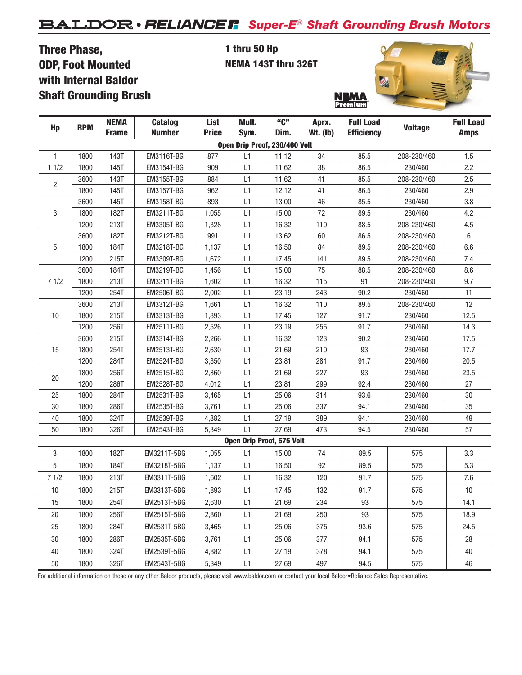# *Super-E*® *Shaft Grounding Brush Motors*

## Three Phase, ODP, Foot Mounted with Internal Baldor Shaft Grounding Brush

1 thru 50 Hp NEMA 143T thru 326T



| Hp             | <b>RPM</b> | <b>NEMA</b><br><b>Frame</b> | <b>Catalog</b><br><b>Number</b> | List<br><b>Price</b> | Mult.<br>Sym. | "C"<br>Dim.                      | Aprx.<br>$Wt.$ (lb) | <b>Full Load</b><br><b>Efficiency</b> | <b>Voltage</b> | <b>Full Load</b><br><b>Amps</b> |
|----------------|------------|-----------------------------|---------------------------------|----------------------|---------------|----------------------------------|---------------------|---------------------------------------|----------------|---------------------------------|
|                |            |                             |                                 |                      |               | Open Drip Proof, 230/460 Volt    |                     |                                       |                |                                 |
| 1              | 1800       | 143T                        | EM3116T-BG                      | 877                  | L1            | 11.12                            | 34                  | 85.5                                  | 208-230/460    | 1.5                             |
| 11/2           | 1800       | 145T                        | EM3154T-BG                      | 909                  | L1            | 11.62                            | 38                  | 86.5                                  | 230/460        | 2.2                             |
|                | 3600       | 143T                        | EM3155T-BG                      | 884                  | L1            | 11.62                            | 41                  | 85.5                                  | 208-230/460    | 2.5                             |
| $\overline{2}$ | 1800       | 145T                        | EM3157T-BG                      | 962                  | L1            | 12.12                            | 41                  | 86.5                                  | 230/460        | 2.9                             |
|                | 3600       | 145T                        | EM3158T-BG                      | 893                  | L1            | 13.00                            | 46                  | 85.5                                  | 230/460        | 3.8                             |
| 3              | 1800       | 182T                        | EM3211T-BG                      | 1,055                | L1            | 15.00                            | 72                  | 89.5                                  | 230/460        | 4.2                             |
|                | 1200       | 213T                        | EM3305T-BG                      | 1,328                | L1            | 16.32                            | 110                 | 88.5                                  | 208-230/460    | 4.5                             |
|                | 3600       | 182T                        | EM3212T-BG                      | 991                  | L1            | 13.62                            | 60                  | 86.5                                  | 208-230/460    | $\,6\,$                         |
| 5              | 1800       | 184T                        | EM3218T-BG                      | 1,137                | L1            | 16.50                            | 84                  | 89.5                                  | 208-230/460    | 6.6                             |
|                | 1200       | 215T                        | EM3309T-BG                      | 1,672                | L1            | 17.45                            | 141                 | 89.5                                  | 208-230/460    | 7.4                             |
|                | 3600       | 184T                        | EM3219T-BG                      | 1,456                | L1            | 15.00                            | 75                  | 88.5                                  | 208-230/460    | 8.6                             |
| 71/2           | 1800       | 213T                        | EM3311T-BG                      | 1,602                | L1            | 16.32                            | 115                 | 91                                    | 208-230/460    | 9.7                             |
|                | 1200       | 254T                        | <b>EM2506T-BG</b>               | 2,002                | L1            | 23.19                            | 243                 | 90.2                                  | 230/460        | 11                              |
|                | 3600       | 213T                        | EM3312T-BG                      | 1,661                | L1            | 16.32                            | 110                 | 89.5                                  | 208-230/460    | 12                              |
| 10             | 1800       | 215T                        | EM3313T-BG                      | 1,893                | L1            | 17.45                            | 127                 | 91.7                                  | 230/460        | 12.5                            |
|                | 1200       | 256T                        | <b>EM2511T-BG</b>               | 2,526                | L1            | 23.19                            | 255                 | 91.7                                  | 230/460        | 14.3                            |
|                | 3600       | 215T                        | EM3314T-BG                      | 2,266                | L1            | 16.32                            | 123                 | 90.2                                  | 230/460        | 17.5                            |
| 15             | 1800       | 254T                        | EM2513T-BG                      | 2,630                | L1            | 21.69                            | 210                 | 93                                    | 230/460        | 17.7                            |
|                | 1200       | 284T                        | <b>EM2524T-BG</b>               | 3,350                | L1            | 23.81                            | 281                 | 91.7                                  | 230/460        | 20.5                            |
|                | 1800       | 256T                        | EM2515T-BG                      | 2,860                | L1            | 21.69                            | 227                 | 93                                    | 230/460        | 23.5                            |
| 20             | 1200       | 286T                        | EM2528T-BG                      | 4,012                | L1            | 23.81                            | 299                 | 92.4                                  | 230/460        | 27                              |
| 25             | 1800       | 284T                        | EM2531T-BG                      | 3,465                | L1            | 25.06                            | 314                 | 93.6                                  | 230/460        | 30                              |
| 30             | 1800       | 286T                        | EM2535T-BG                      | 3,761                | L1            | 25.06                            | 337                 | 94.1                                  | 230/460        | 35                              |
| 40             | 1800       | 324T                        | EM2539T-BG                      | 4,882                | L1            | 27.19                            | 389                 | 94.1                                  | 230/460        | 49                              |
| 50             | 1800       | 326T                        | <b>EM2543T-BG</b>               | 5,349                | L1            | 27.69                            | 473                 | 94.5                                  | 230/460        | 57                              |
|                |            |                             |                                 |                      |               | <b>Open Drip Proof, 575 Volt</b> |                     |                                       |                |                                 |
| 3              | 1800       | 182T                        | EM3211T-5BG                     | 1,055                | L1            | 15.00                            | 74                  | 89.5                                  | 575            | 3.3                             |
| 5              | 1800       | 184T                        | EM3218T-5BG                     | 1,137                | L1            | 16.50                            | 92                  | 89.5                                  | 575            | 5.3                             |
| 71/2           | 1800       | 213T                        | EM3311T-5BG                     | 1,602                | L1            | 16.32                            | 120                 | 91.7                                  | 575            | 7.6                             |
| 10             | 1800       | 215T                        | EM3313T-5BG                     | 1,893                | L1            | 17.45                            | 132                 | 91.7                                  | 575            | 10                              |
| 15             | 1800       | 254T                        | EM2513T-5BG                     | 2,630                | L1            | 21.69                            | 234                 | 93                                    | 575            | 14.1                            |
| 20             | 1800       | 256T                        | EM2515T-5BG                     | 2,860                | L1            | 21.69                            | 250                 | 93                                    | 575            | 18.9                            |
| 25             | 1800       | 284T                        | EM2531T-5BG                     | 3,465                | L1            | 25.06                            | 375                 | 93.6                                  | 575            | 24.5                            |
| 30             | 1800       | 286T                        | EM2535T-5BG                     | 3,761                | L1            | 25.06                            | 377                 | 94.1                                  | 575            | 28                              |
| 40             | 1800       | 324T                        | EM2539T-5BG                     | 4,882                | L1            | 27.19                            | 378                 | 94.1                                  | 575            | 40                              |
| 50             | 1800       | 326T                        | EM2543T-5BG                     | 5,349                | L1            | 27.69                            | 497                 | 94.5                                  | 575            | 46                              |
|                |            |                             |                                 |                      |               |                                  |                     |                                       |                |                                 |

For additional information on these or any other Baldor products, please visit www.baldor.com or contact your local Baldor•Reliance Sales Representative.